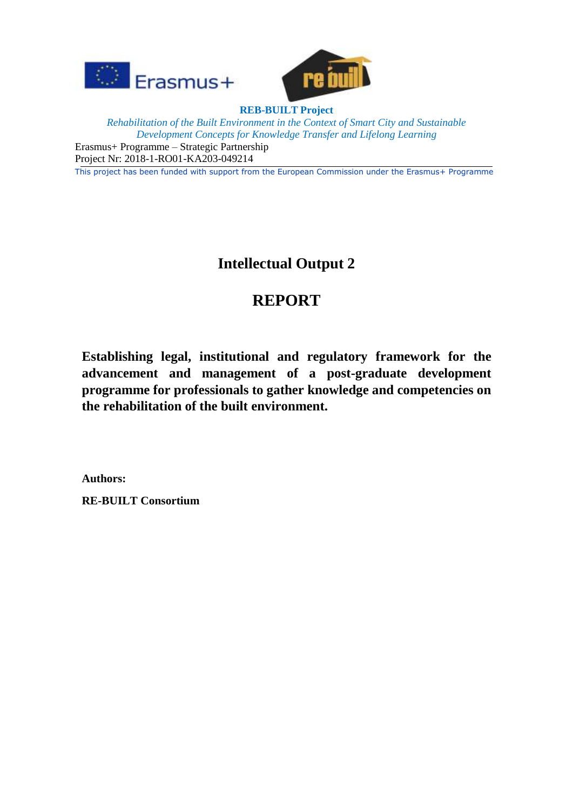



**REB-BUILT Project** *Rehabilitation of the Built Environment in the Context of Smart City and Sustainable Development Concepts for Knowledge Transfer and Lifelong Learning* Erasmus+ Programme – Strategic Partnership Project Nr: 2018-1-RO01-KA203-049214

This project has been funded with support from the European Commission under the Erasmus+ Programme

## **Intellectual Output 2**

# **REPORT**

**Establishing legal, institutional and regulatory framework for the advancement and management of a post-graduate development programme for professionals to gather knowledge and competencies on the rehabilitation of the built environment.**

**Authors:**

**RE-BUILT Consortium**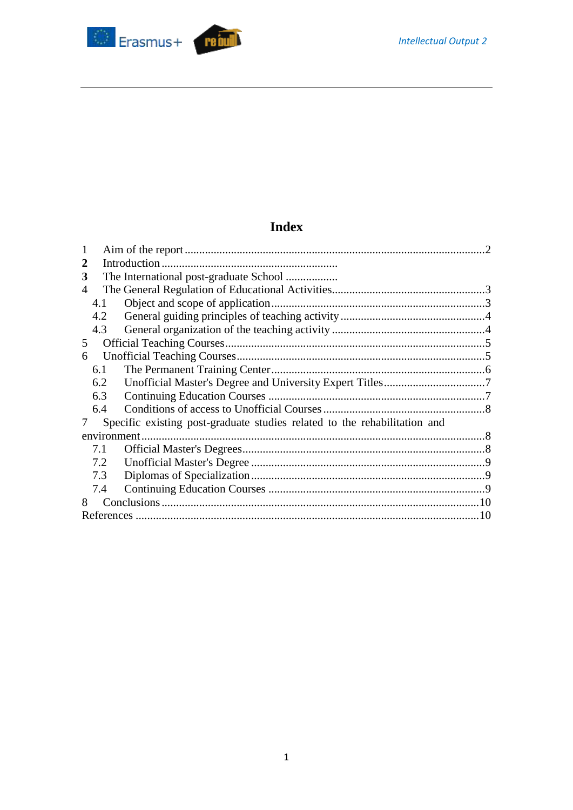

## **Index**

| 2           |     |                                                                           |  |  |
|-------------|-----|---------------------------------------------------------------------------|--|--|
| 3           |     | The International post-graduate School                                    |  |  |
| 4           |     |                                                                           |  |  |
|             | 4.1 |                                                                           |  |  |
|             | 4.2 |                                                                           |  |  |
|             | 4.3 |                                                                           |  |  |
| 5           |     |                                                                           |  |  |
| 6           |     |                                                                           |  |  |
|             | 6.1 |                                                                           |  |  |
|             | 6.2 |                                                                           |  |  |
|             | 6.3 |                                                                           |  |  |
|             | 6.4 |                                                                           |  |  |
| 7           |     | Specific existing post-graduate studies related to the rehabilitation and |  |  |
| environment |     |                                                                           |  |  |
|             | 7.1 |                                                                           |  |  |
|             | 7.2 |                                                                           |  |  |
|             | 7.3 |                                                                           |  |  |
|             | 7.4 |                                                                           |  |  |
| 8           |     |                                                                           |  |  |
|             | 10  |                                                                           |  |  |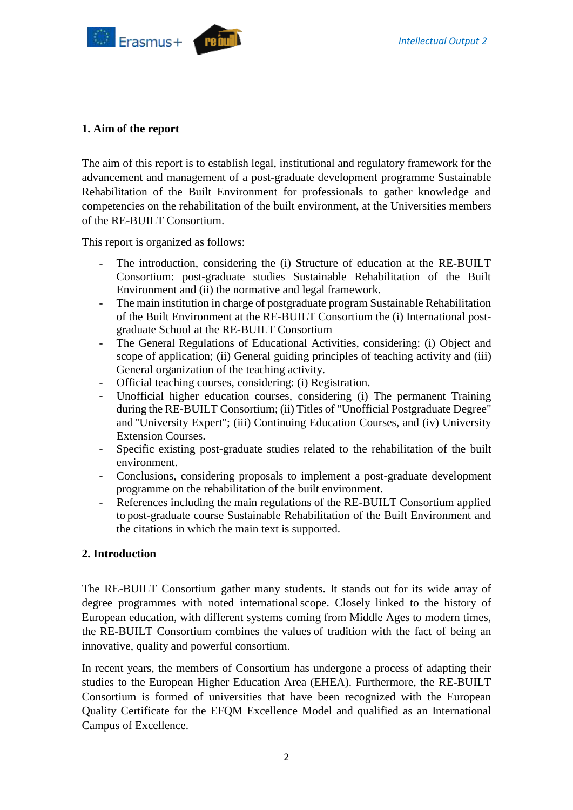

#### <span id="page-2-0"></span>**1. Aim of the report**

The aim of this report is to establish legal, institutional and regulatory framework for the advancement and management of a post-graduate development programme Sustainable Rehabilitation of the Built Environment for professionals to gather knowledge and competencies on the rehabilitation of the built environment, at the Universities members of the RE-BUILT Consortium.

This report is organized as follows:

- The introduction, considering the (i) Structure of education at the RE-BUILT Consortium: post-graduate studies Sustainable Rehabilitation of the Built Environment and (ii) the normative and legal framework.
- The main institution in charge of postgraduate program Sustainable Rehabilitation of the Built Environment at the RE-BUILT Consortium the (i) International postgraduate School at the RE-BUILT Consortium
- The General Regulations of Educational Activities, considering: (i) Object and scope of application; (ii) General guiding principles of teaching activity and (iii) General organization of the teaching activity.
- Official teaching courses, considering: (i) Registration.
- Unofficial higher education courses, considering (i) The permanent Training during the RE-BUILT Consortium; (ii) Titles of "Unofficial Postgraduate Degree" and "University Expert"; (iii) Continuing Education Courses, and (iv) University Extension Courses.
- Specific existing post-graduate studies related to the rehabilitation of the built environment.
- Conclusions, considering proposals to implement a post-graduate development programme on the rehabilitation of the built environment.
- References including the main regulations of the RE-BUILT Consortium applied to post-graduate course Sustainable Rehabilitation of the Built Environment and the citations in which the main text is supported.

#### **2. Introduction**

The RE-BUILT Consortium gather many students. It stands out for its wide array of degree programmes with noted internationalscope. Closely linked to the history of European education, with different systems coming from Middle Ages to modern times, the RE-BUILT Consortium combines the values of tradition with the fact of being an innovative, quality and powerful consortium.

In recent years, the members of Consortium has undergone a process of adapting their studies to the European Higher Education Area (EHEA). Furthermore, the RE-BUILT Consortium is formed of universities that have been recognized with the European Quality Certificate for the EFQM Excellence Model and qualified as an International Campus of Excellence.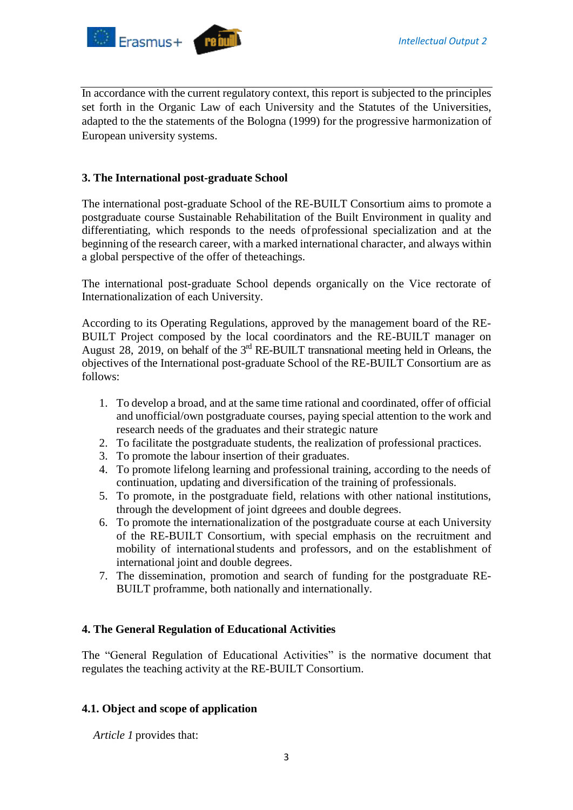

In accordance with the current regulatory context, this report is subjected to the principles set forth in the Organic Law of each University and the Statutes of the Universities, adapted to the the statements of the Bologna (1999) for the progressive harmonization of European university systems.

### **3. The International post-graduate School**

The international post-graduate School of the RE-BUILT Consortium aims to promote a postgraduate course Sustainable Rehabilitation of the Built Environment in quality and differentiating, which responds to the needs ofprofessional specialization and at the beginning of the research career, with a marked international character, and always within a global perspective of the offer of theteachings.

The international post-graduate School depends organically on the Vice rectorate of Internationalization of each University.

According to its Operating Regulations, approved by the management board of the RE-BUILT Project composed by the local coordinators and the RE-BUILT manager on August 28, 2019, on behalf of the  $3<sup>rd</sup>$  RE-BUILT transnational meeting held in Orleans, the objectives of the International post-graduate School of the RE-BUILT Consortium are as follows:

- 1. To develop a broad, and at the same time rational and coordinated, offer of official and unofficial/own postgraduate courses, paying special attention to the work and research needs of the graduates and their strategic nature
- 2. To facilitate the postgraduate students, the realization of professional practices.
- 3. To promote the labour insertion of their graduates.
- 4. To promote lifelong learning and professional training, according to the needs of continuation, updating and diversification of the training of professionals.
- 5. To promote, in the postgraduate field, relations with other national institutions, through the development of joint dgreees and double degrees.
- 6. To promote the internationalization of the postgraduate course at each University of the RE-BUILT Consortium, with special emphasis on the recruitment and mobility of internationalstudents and professors, and on the establishment of international joint and double degrees.
- 7. The dissemination, promotion and search of funding for the postgraduate RE-BUILT proframme, both nationally and internationally.

#### <span id="page-3-0"></span>**4. The General Regulation of Educational Activities**

The "General Regulation of Educational Activities" is the normative document that regulates the teaching activity at the RE-BUILT Consortium.

#### <span id="page-3-1"></span>**4.1. Object and scope of application**

*Article 1* provides that: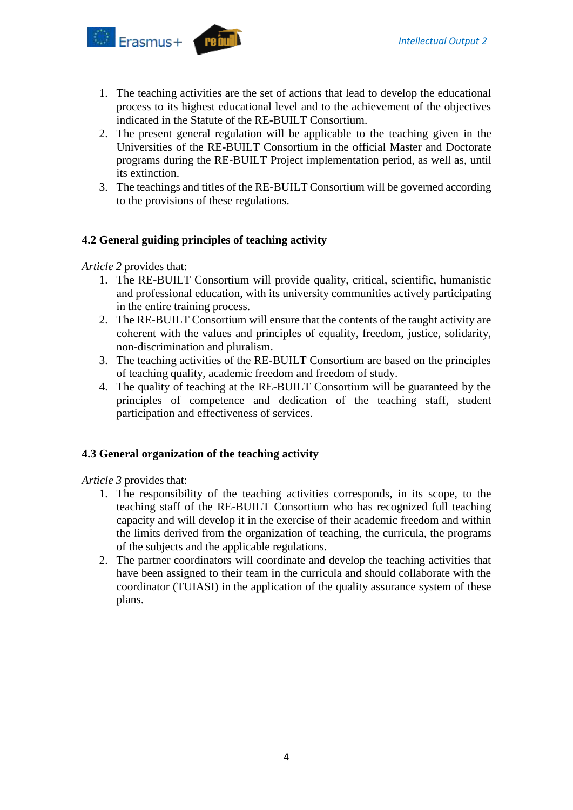

- 1. The teaching activities are the set of actions that lead to develop the educational process to its highest educational level and to the achievement of the objectives indicated in the Statute of the RE-BUILT Consortium.
- 2. The present general regulation will be applicable to the teaching given in the Universities of the RE-BUILT Consortium in the official Master and Doctorate programs during the RE-BUILT Project implementation period, as well as, until its extinction.
- 3. The teachings and titles of the RE-BUILT Consortium will be governed according to the provisions of these regulations.

## <span id="page-4-0"></span>**4.2 General guiding principles of teaching activity**

*Article 2* provides that:

- 1. The RE-BUILT Consortium will provide quality, critical, scientific, humanistic and professional education, with its university communities actively participating in the entire training process.
- 2. The RE-BUILT Consortium will ensure that the contents of the taught activity are coherent with the values and principles of equality, freedom, justice, solidarity, non-discrimination and pluralism.
- 3. The teaching activities of the RE-BUILT Consortium are based on the principles of teaching quality, academic freedom and freedom of study.
- 4. The quality of teaching at the RE-BUILT Consortium will be guaranteed by the principles of competence and dedication of the teaching staff, student participation and effectiveness of services.

## <span id="page-4-1"></span>**4.3 General organization of the teaching activity**

*Article 3* provides that:

- 1. The responsibility of the teaching activities corresponds, in its scope, to the teaching staff of the RE-BUILT Consortium who has recognized full teaching capacity and will develop it in the exercise of their academic freedom and within the limits derived from the organization of teaching, the curricula, the programs of the subjects and the applicable regulations.
- 2. The partner coordinators will coordinate and develop the teaching activities that have been assigned to their team in the curricula and should collaborate with the coordinator (TUIASI) in the application of the quality assurance system of these plans.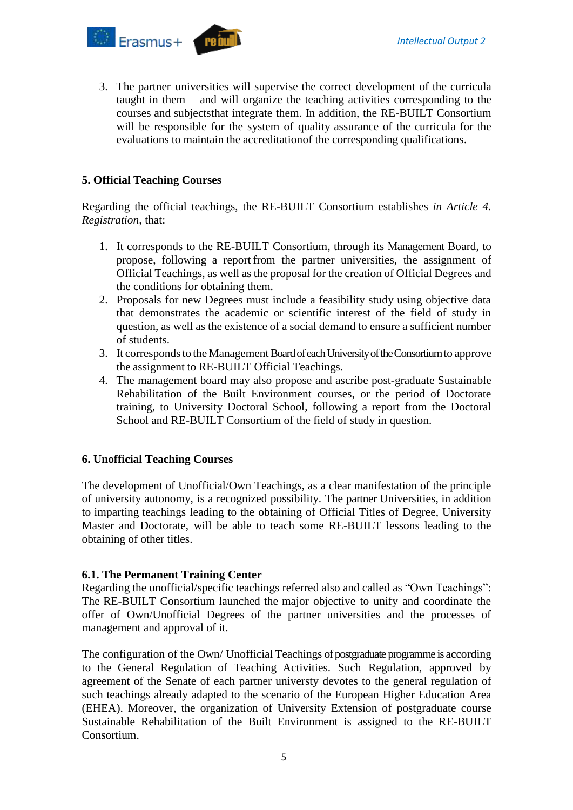

3. The partner universities will supervise the correct development of the curricula taught in them and will organize the teaching activities corresponding to the courses and subjectsthat integrate them. In addition, the RE-BUILT Consortium will be responsible for the system of quality assurance of the curricula for the evaluations to maintain the accreditationof the corresponding qualifications.

#### <span id="page-5-0"></span>**5. Official Teaching Courses**

Regarding the official teachings, the RE-BUILT Consortium establishes *in Article 4. Registration,* that:

- 1. It corresponds to the RE-BUILT Consortium, through its Management Board, to propose, following a report from the partner universities, the assignment of Official Teachings, as well as the proposal for the creation of Official Degrees and the conditions for obtaining them.
- 2. Proposals for new Degrees must include a feasibility study using objective data that demonstrates the academic or scientific interest of the field of study in question, as well as the existence of a social demand to ensure a sufficient number of students.
- 3. It corresponds to the Management Board of each University of the Consortium to approve the assignment to RE-BUILT Official Teachings.
- 4. The management board may also propose and ascribe post-graduate Sustainable Rehabilitation of the Built Environment courses, or the period of Doctorate training, to University Doctoral School, following a report from the Doctoral School and RE-BUILT Consortium of the field of study in question.

#### <span id="page-5-1"></span>**6. Unofficial Teaching Courses**

The development of Unofficial/Own Teachings, as a clear manifestation of the principle of university autonomy, is a recognized possibility. The partner Universities, in addition to imparting teachings leading to the obtaining of Official Titles of Degree, University Master and Doctorate, will be able to teach some RE-BUILT lessons leading to the obtaining of other titles.

#### <span id="page-5-2"></span>**6.1. The Permanent Training Center**

Regarding the unofficial/specific teachings referred also and called as "Own Teachings": The RE-BUILT Consortium launched the major objective to unify and coordinate the offer of Own/Unofficial Degrees of the partner universities and the processes of management and approval of it.

The configuration of the Own/ Unofficial Teachings of postgraduate programme is according to the General Regulation of Teaching Activities. Such Regulation, approved by agreement of the Senate of each partner universty devotes to the general regulation of such teachings already adapted to the scenario of the European Higher Education Area (EHEA). Moreover, the organization of University Extension of postgraduate course Sustainable Rehabilitation of the Built Environment is assigned to the RE-BUILT Consortium.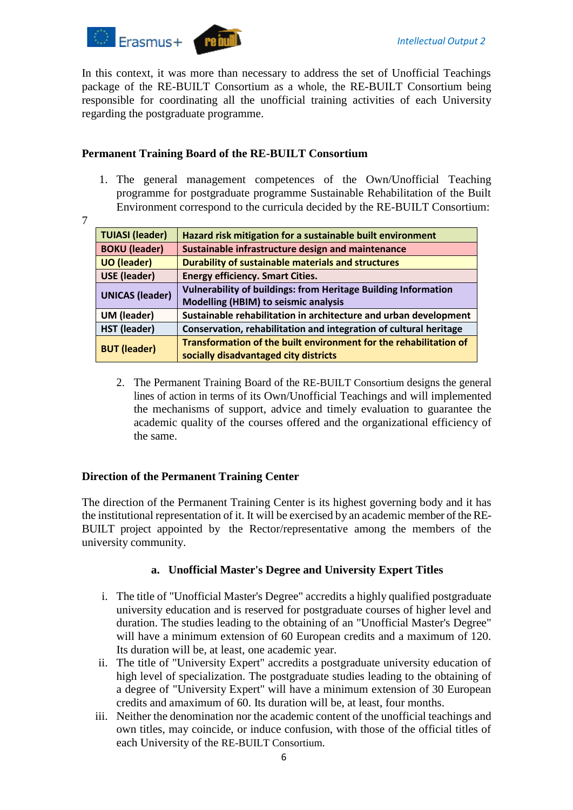

In this context, it was more than necessary to address the set of Unofficial Teachings package of the RE-BUILT Consortium as a whole, the RE-BUILT Consortium being responsible for coordinating all the unofficial training activities of each University regarding the postgraduate programme.

## **Permanent Training Board of the RE-BUILT Consortium**

- 1. The general management competences of the Own/Unofficial Teaching programme for postgraduate programme Sustainable Rehabilitation of the Built Environment correspond to the curricula decided by the RE-BUILT Consortium:
- 7

| <b>TUIASI (leader)</b> | Hazard risk mitigation for a sustainable built environment            |
|------------------------|-----------------------------------------------------------------------|
| <b>BOKU (leader)</b>   | Sustainable infrastructure design and maintenance                     |
| <b>UO</b> (leader)     | <b>Durability of sustainable materials and structures</b>             |
| <b>USE (leader)</b>    | <b>Energy efficiency. Smart Cities.</b>                               |
| <b>UNICAS (leader)</b> | <b>Vulnerability of buildings: from Heritage Building Information</b> |
|                        | Modelling (HBIM) to seismic analysis                                  |
| UM (leader)            | Sustainable rehabilitation in architecture and urban development      |
| <b>HST (leader)</b>    | Conservation, rehabilitation and integration of cultural heritage     |
| <b>BUT (leader)</b>    | Transformation of the built environment for the rehabilitation of     |
|                        | socially disadvantaged city districts                                 |

2. The Permanent Training Board of the RE-BUILT Consortium designs the general lines of action in terms of its Own/Unofficial Teachings and will implemented the mechanisms of support, advice and timely evaluation to guarantee the academic quality of the courses offered and the organizational efficiency of the same.

## **Direction of the Permanent Training Center**

The direction of the Permanent Training Center is its highest governing body and it has the institutional representation of it. It will be exercised by an academic member of the RE-BUILT project appointed by the Rector/representative among the members of the university community.

## **a. Unofficial Master's Degree and University Expert Titles**

- <span id="page-6-0"></span>i. The title of "Unofficial Master's Degree" accredits a highly qualified postgraduate university education and is reserved for postgraduate courses of higher level and duration. The studies leading to the obtaining of an "Unofficial Master's Degree" will have a minimum extension of 60 European credits and a maximum of 120. Its duration will be, at least, one academic year.
- ii. The title of "University Expert" accredits a postgraduate university education of high level of specialization. The postgraduate studies leading to the obtaining of a degree of "University Expert" will have a minimum extension of 30 European credits and amaximum of 60. Its duration will be, at least, four months.
- iii. Neither the denomination nor the academic content of the unofficial teachings and own titles, may coincide, or induce confusion, with those of the official titles of each University of the RE-BUILT Consortium.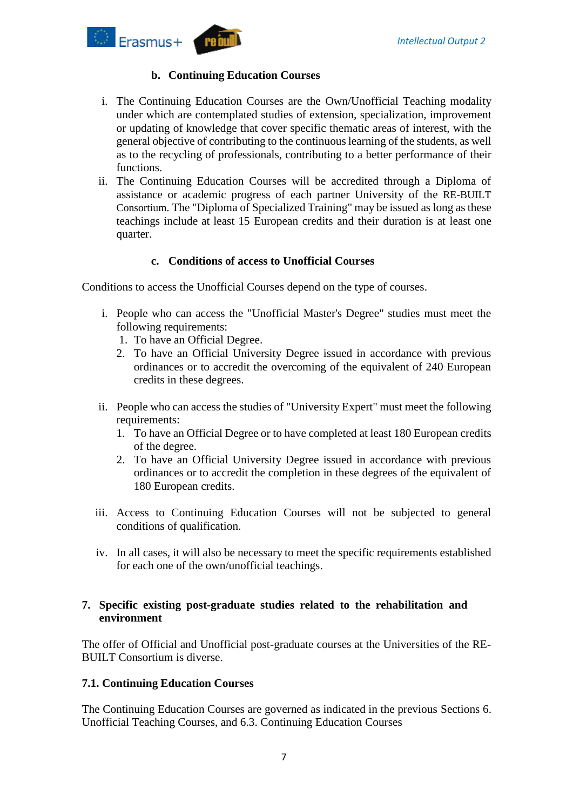

## **b. Continuing Education Courses**

- <span id="page-7-0"></span>i. The Continuing Education Courses are the Own/Unofficial Teaching modality under which are contemplated studies of extension, specialization, improvement or updating of knowledge that cover specific thematic areas of interest, with the general objective of contributing to the continuous learning of the students, as well as to the recycling of professionals, contributing to a better performance of their functions.
- ii. The Continuing Education Courses will be accredited through a Diploma of assistance or academic progress of each partner University of the RE-BUILT Consortium. The "Diploma of Specialized Training" may be issued as long as these teachings include at least 15 European credits and their duration is at least one quarter.

## **c. Conditions of access to Unofficial Courses**

<span id="page-7-1"></span>Conditions to access the Unofficial Courses depend on the type of courses.

- i. People who can access the "Unofficial Master's Degree" studies must meet the following requirements:
	- 1. To have an Official Degree.
	- 2. To have an Official University Degree issued in accordance with previous ordinances or to accredit the overcoming of the equivalent of 240 European credits in these degrees.
- ii. People who can access the studies of "University Expert" must meet the following requirements:
	- 1. To have an Official Degree or to have completed at least 180 European credits of the degree.
	- 2. To have an Official University Degree issued in accordance with previous ordinances or to accredit the completion in these degrees of the equivalent of 180 European credits.
- iii. Access to Continuing Education Courses will not be subjected to general conditions of qualification.
- iv. In all cases, it will also be necessary to meet the specific requirements established for each one of the own/unofficial teachings.

## <span id="page-7-2"></span>**7. Specific existing post-graduate studies related to the rehabilitation and environment**

The offer of Official and Unofficial post-graduate courses at the Universities of the RE-BUILT Consortium is diverse.

## <span id="page-7-3"></span>**7.1. Continuing Education Courses**

The Continuing Education Courses are governed as indicated in the previous Sections 6. Unofficial Teaching Courses, and 6.3. Continuing Education Courses